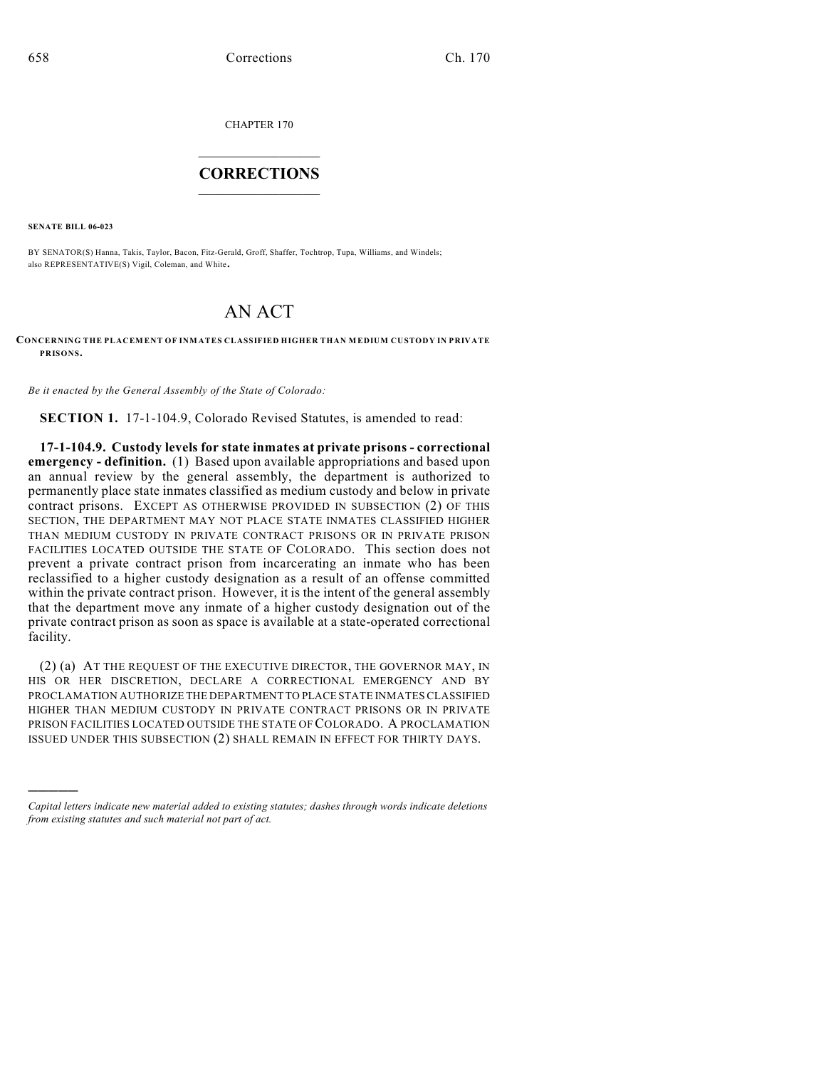CHAPTER 170

## $\mathcal{L}_\text{max}$  . The set of the set of the set of the set of the set of the set of the set of the set of the set of the set of the set of the set of the set of the set of the set of the set of the set of the set of the set **CORRECTIONS**  $\frac{1}{2}$  ,  $\frac{1}{2}$  ,  $\frac{1}{2}$  ,  $\frac{1}{2}$  ,  $\frac{1}{2}$  ,  $\frac{1}{2}$

**SENATE BILL 06-023**

)))))

BY SENATOR(S) Hanna, Takis, Taylor, Bacon, Fitz-Gerald, Groff, Shaffer, Tochtrop, Tupa, Williams, and Windels; also REPRESENTATIVE(S) Vigil, Coleman, and White.

## AN ACT

## **CONCERNING THE PLACEMENT OF INMATES CLASSIFIED HIGHER THAN MEDIUM CUSTODY IN PRIVATE PRISONS.**

*Be it enacted by the General Assembly of the State of Colorado:*

**SECTION 1.** 17-1-104.9, Colorado Revised Statutes, is amended to read:

**17-1-104.9. Custody levels for state inmates at private prisons - correctional emergency - definition.** (1) Based upon available appropriations and based upon an annual review by the general assembly, the department is authorized to permanently place state inmates classified as medium custody and below in private contract prisons. EXCEPT AS OTHERWISE PROVIDED IN SUBSECTION (2) OF THIS SECTION, THE DEPARTMENT MAY NOT PLACE STATE INMATES CLASSIFIED HIGHER THAN MEDIUM CUSTODY IN PRIVATE CONTRACT PRISONS OR IN PRIVATE PRISON FACILITIES LOCATED OUTSIDE THE STATE OF COLORADO. This section does not prevent a private contract prison from incarcerating an inmate who has been reclassified to a higher custody designation as a result of an offense committed within the private contract prison. However, it is the intent of the general assembly that the department move any inmate of a higher custody designation out of the private contract prison as soon as space is available at a state-operated correctional facility.

(2) (a) AT THE REQUEST OF THE EXECUTIVE DIRECTOR, THE GOVERNOR MAY, IN HIS OR HER DISCRETION, DECLARE A CORRECTIONAL EMERGENCY AND BY PROCLAMATION AUTHORIZE THE DEPARTMENT TO PLACE STATE INMATES CLASSIFIED HIGHER THAN MEDIUM CUSTODY IN PRIVATE CONTRACT PRISONS OR IN PRIVATE PRISON FACILITIES LOCATED OUTSIDE THE STATE OF COLORADO. A PROCLAMATION ISSUED UNDER THIS SUBSECTION (2) SHALL REMAIN IN EFFECT FOR THIRTY DAYS.

*Capital letters indicate new material added to existing statutes; dashes through words indicate deletions from existing statutes and such material not part of act.*